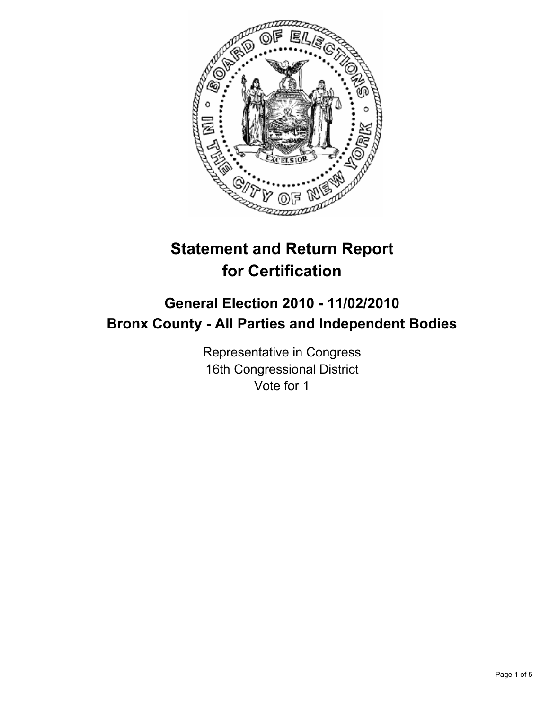

# **Statement and Return Report for Certification**

## **General Election 2010 - 11/02/2010 Bronx County - All Parties and Independent Bodies**

Representative in Congress 16th Congressional District Vote for 1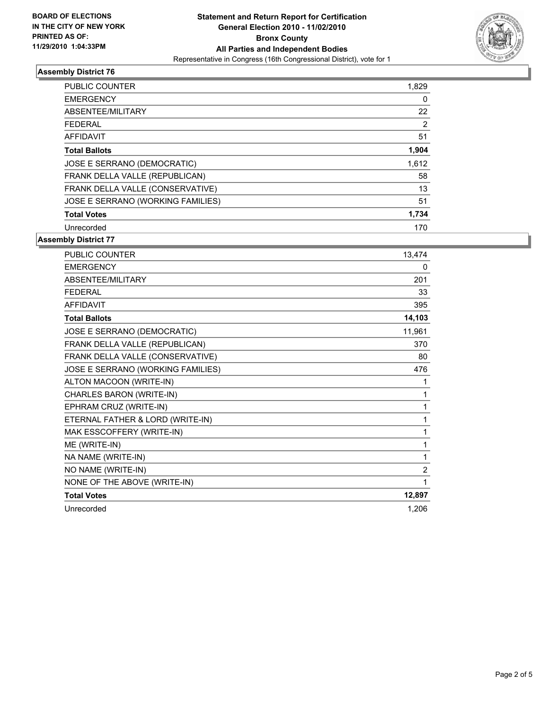

### **Assembly District 76**

| <b>PUBLIC COUNTER</b>             | 1,829 |
|-----------------------------------|-------|
| <b>EMERGENCY</b>                  | 0     |
| ABSENTEE/MILITARY                 | 22    |
| FEDERAL                           | 2     |
| AFFIDAVIT                         | 51    |
| <b>Total Ballots</b>              | 1,904 |
| JOSE E SERRANO (DEMOCRATIC)       | 1,612 |
| FRANK DELLA VALLE (REPUBLICAN)    | 58    |
| FRANK DELLA VALLE (CONSERVATIVE)  | 13    |
| JOSE E SERRANO (WORKING FAMILIES) | 51    |
| <b>Total Votes</b>                | 1,734 |
| Unrecorded                        | 170   |

**Assembly District 77**

| <b>PUBLIC COUNTER</b>             | 13,474 |
|-----------------------------------|--------|
| <b>EMERGENCY</b>                  | 0      |
| <b>ABSENTEE/MILITARY</b>          | 201    |
| <b>FFDFRAI</b>                    | 33     |
| AFFIDAVIT                         | 395    |
| <b>Total Ballots</b>              | 14,103 |
| JOSE E SERRANO (DEMOCRATIC)       | 11,961 |
| FRANK DELLA VALLE (REPUBLICAN)    | 370    |
| FRANK DELLA VALLE (CONSERVATIVE)  | 80     |
| JOSE E SERRANO (WORKING FAMILIES) | 476    |
| ALTON MACOON (WRITE-IN)           | 1      |
| CHARLES BARON (WRITE-IN)          | 1      |
| EPHRAM CRUZ (WRITE-IN)            | 1      |
| ETERNAL FATHER & LORD (WRITE-IN)  | 1      |
| MAK ESSCOFFERY (WRITE-IN)         | 1      |
| ME (WRITE-IN)                     | 1      |
| NA NAME (WRITE-IN)                | 1      |
| NO NAME (WRITE-IN)                | 2      |
| NONE OF THE ABOVE (WRITE-IN)      | 1      |
| <b>Total Votes</b>                | 12,897 |
| Unrecorded                        | 1,206  |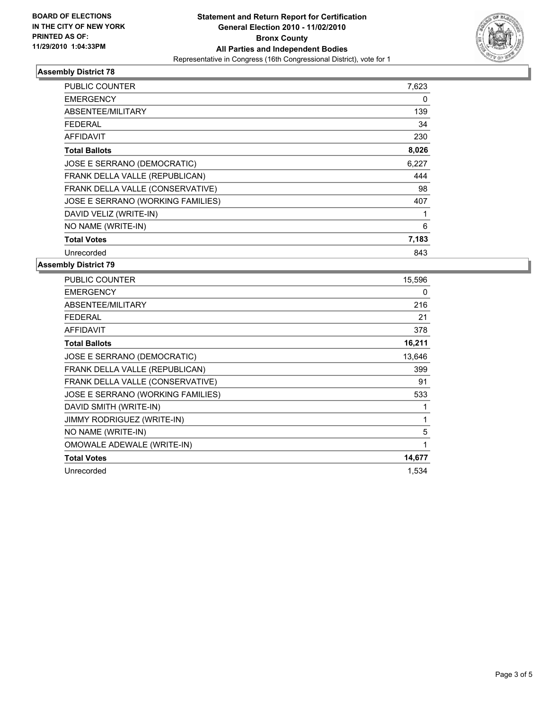

### **Assembly District 78**

| <b>PUBLIC COUNTER</b>             | 7,623 |
|-----------------------------------|-------|
| <b>EMERGENCY</b>                  | 0     |
| ABSENTEE/MILITARY                 | 139   |
| <b>FEDERAL</b>                    | 34    |
| <b>AFFIDAVIT</b>                  | 230   |
| <b>Total Ballots</b>              | 8,026 |
| JOSE E SERRANO (DEMOCRATIC)       | 6,227 |
| FRANK DELLA VALLE (REPUBLICAN)    | 444   |
| FRANK DELLA VALLE (CONSERVATIVE)  | 98    |
| JOSE E SERRANO (WORKING FAMILIES) | 407   |
| DAVID VELIZ (WRITE-IN)            | 1     |
| NO NAME (WRITE-IN)                | 6     |
| <b>Total Votes</b>                | 7,183 |
| Unrecorded                        | 843   |

### **Assembly District 79**

| <b>PUBLIC COUNTER</b>             | 15,596 |
|-----------------------------------|--------|
| <b>EMERGENCY</b>                  | 0      |
| ABSENTEE/MILITARY                 | 216    |
| <b>FEDERAL</b>                    | 21     |
| <b>AFFIDAVIT</b>                  | 378    |
| <b>Total Ballots</b>              | 16,211 |
| JOSE E SERRANO (DEMOCRATIC)       | 13,646 |
| FRANK DELLA VALLE (REPUBLICAN)    | 399    |
| FRANK DELLA VALLE (CONSERVATIVE)  | 91     |
| JOSE E SERRANO (WORKING FAMILIES) | 533    |
| DAVID SMITH (WRITE-IN)            | 1      |
| <b>JIMMY RODRIGUEZ (WRITE-IN)</b> | 1      |
| NO NAME (WRITE-IN)                | 5      |
| OMOWALE ADEWALE (WRITE-IN)        | 1      |
| <b>Total Votes</b>                | 14,677 |
| Unrecorded                        | 1,534  |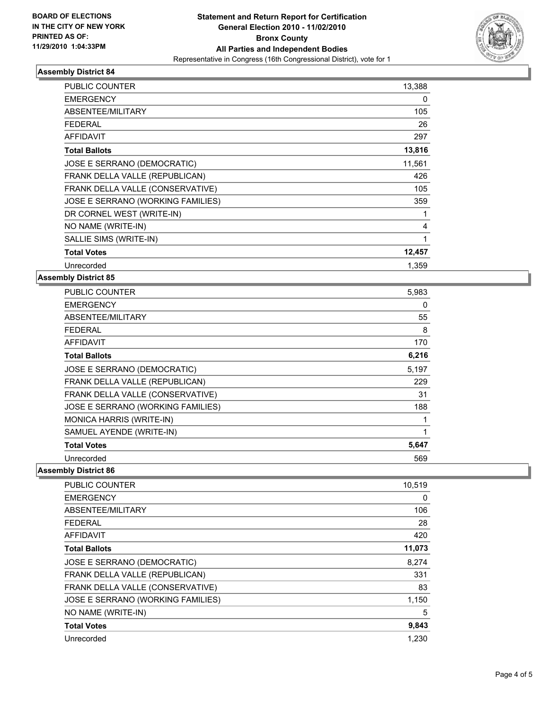

### **Assembly District 84**

| PUBLIC COUNTER                    | 13,388 |
|-----------------------------------|--------|
| <b>EMERGENCY</b>                  | 0      |
| <b>ABSENTEE/MILITARY</b>          | 105    |
| <b>FEDERAL</b>                    | 26     |
| <b>AFFIDAVIT</b>                  | 297    |
| <b>Total Ballots</b>              | 13,816 |
| JOSE E SERRANO (DEMOCRATIC)       | 11,561 |
| FRANK DELLA VALLE (REPUBLICAN)    | 426    |
| FRANK DELLA VALLE (CONSERVATIVE)  | 105    |
| JOSE E SERRANO (WORKING FAMILIES) | 359    |
| DR CORNEL WEST (WRITE-IN)         | 1      |
| NO NAME (WRITE-IN)                | 4      |
| SALLIE SIMS (WRITE-IN)            | 1      |
| <b>Total Votes</b>                | 12,457 |
| Unrecorded                        | 1.359  |

### **Assembly District 85**

| <b>PUBLIC COUNTER</b>             | 5,983 |
|-----------------------------------|-------|
| <b>EMERGENCY</b>                  | 0     |
| ABSENTEE/MILITARY                 | 55    |
| <b>FEDERAL</b>                    | 8     |
| <b>AFFIDAVIT</b>                  | 170   |
| <b>Total Ballots</b>              | 6,216 |
| JOSE E SERRANO (DEMOCRATIC)       | 5,197 |
| FRANK DELLA VALLE (REPUBLICAN)    | 229   |
| FRANK DELLA VALLE (CONSERVATIVE)  | 31    |
| JOSE E SERRANO (WORKING FAMILIES) | 188   |
| MONICA HARRIS (WRITE-IN)          | 1     |
| SAMUEL AYENDE (WRITE-IN)          | 1     |
| <b>Total Votes</b>                | 5,647 |
| Unrecorded                        | 569   |

### **Assembly District 86**

| PUBLIC COUNTER                    | 10,519 |
|-----------------------------------|--------|
| <b>EMERGENCY</b>                  | 0      |
| ABSENTEE/MILITARY                 | 106    |
| FEDERAL                           | 28     |
| <b>AFFIDAVIT</b>                  | 420    |
| <b>Total Ballots</b>              | 11,073 |
| JOSE E SERRANO (DEMOCRATIC)       | 8,274  |
| FRANK DELLA VALLE (REPUBLICAN)    | 331    |
| FRANK DELLA VALLE (CONSERVATIVE)  | 83     |
| JOSE E SERRANO (WORKING FAMILIES) | 1,150  |
| NO NAME (WRITE-IN)                | 5      |
| <b>Total Votes</b>                | 9,843  |
| Unrecorded                        | 1,230  |